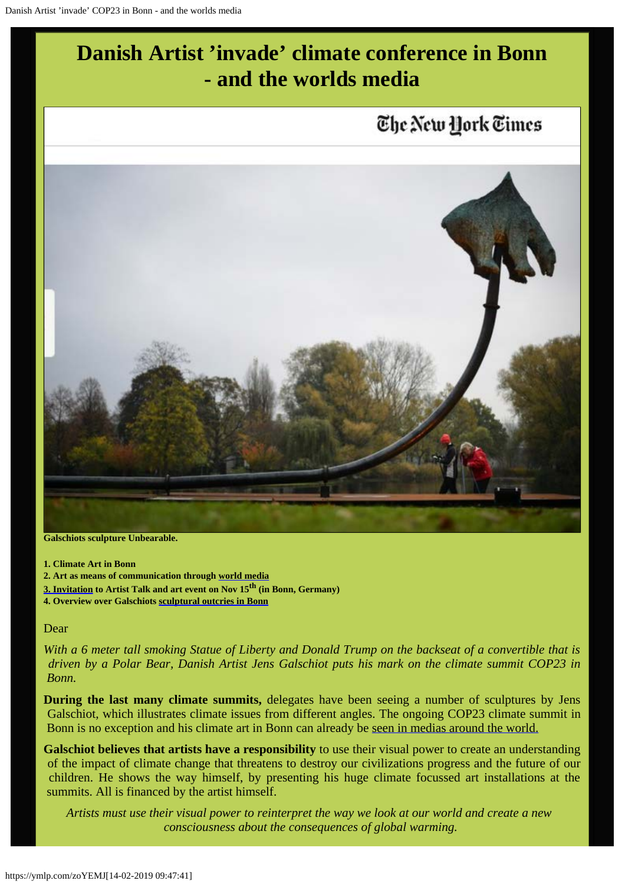

**Galschiots sculpture Unbearable.**

- **1. Climate Art in Bonn**
- **2. Art as means of communication through [world media](http://www.galschiot.com/wp-content/uploads/2017/11/Artikler-ALLE-cop23-1-1.pdf)**
- **[3. Invitation](http://www.galschiot.com/event/artist-talk-and-unbearable-event/) to Artist Talk and art event on Nov 15th (in Bonn, Germany)**
- **4. Overview over Galschiots [sculptural outcries in Bonn](http://www.galschiot.com/event/cop23-exhibitions-and-sculpture/)**

### Dear

*With a 6 meter tall smoking Statue of Liberty and Donald Trump on the backseat of a convertible that is driven by a Polar Bear, Danish Artist Jens Galschiot puts his mark on the climate summit COP23 in Bonn.*

**During the last many climate summits,** delegates have been seeing a number of sculptures by Jens Galschiot, which illustrates climate issues from different angles. The ongoing COP23 climate summit in Bonn is no exception and his climate art in Bonn can already be [seen in medias around the world.](http://www.galschiot.com/wp-content/uploads/2017/11/Artikler-ALLE-cop23-1-1.pdf)

**Galschiot believes that artists have a responsibility** to use their visual power to create an understanding of the impact of climate change that threatens to destroy our civilizations progress and the future of our children. He shows the way himself, by presenting his huge climate focussed art installations at the summits. All is financed by the artist himself.

*Artists must use their visual power to reinterpret the way we look at our world and create a new consciousness about the consequences of global warming.*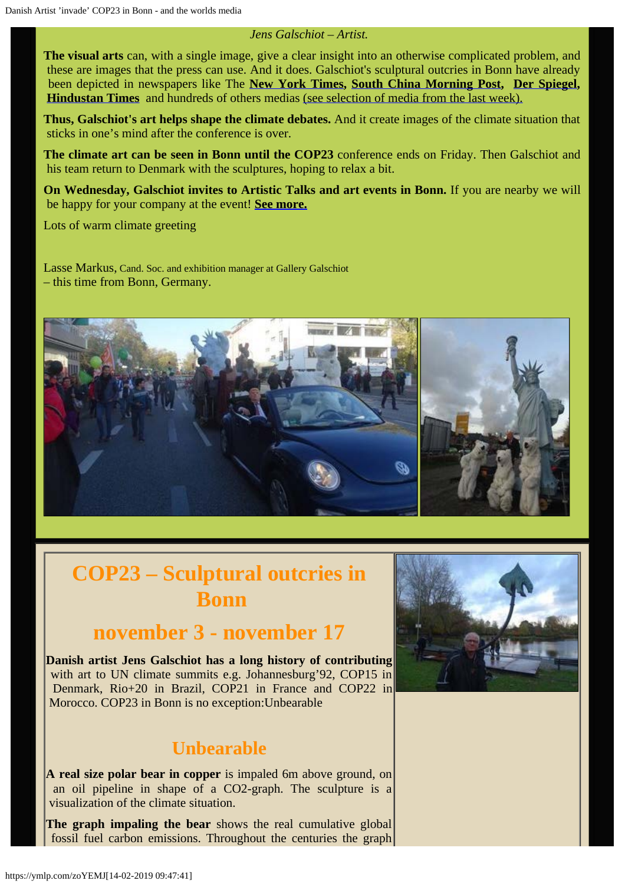### *Jens Galschiot – Artist.*

**The visual arts** can, with a single image, give a clear insight into an otherwise complicated problem, and these are images that the press can use. And it does. Galschiot's sculptural outcries in Bonn have already been depicted in newspapers like The **[New York Times](https://www.nytimes.com/2017/11/10/climate/bonn-climate-change-conference.html), [South China Morning Post](http://www.scmp.com/comment/insight-opinion/article/2119167/are-natural-disasters-man-made-its-hard-deny-when-effects), [Der Spiegel](http://www.spiegel.de/wissenschaft/natur/klimakonferenz-in-bonn-tausende-demonstrieren-fuer-kohleausstieg-a-1176514.html), [Hindustan Times](http://www.hindustantimes.com/photos/world-news/photos-cop23-brings-world-leaders-and-activists-to-germany/photo-5AerE45Cx5bO9X6YIOEtAJ.html)** and hundreds of others medias [\(see selection of media from the last week\).](http://www.galschiot.com/wp-content/uploads/2017/11/Artikler-ALLE-cop23-1-1.pdf)

**Thus, Galschiot's art helps shape the climate debates.** And it create images of the climate situation that sticks in one's mind after the conference is over.

**The climate art can be seen in Bonn until the COP23** conference ends on Friday. Then Galschiot and his team return to Denmark with the sculptures, hoping to relax a bit.

**On Wednesday, Galschiot invites to Artistic Talks and art events in Bonn.** If you are nearby we will be happy for your company at the event! **[See more.](http://www.galschiot.com/event/artist-talk-and-unbearable-event/)**

Lots of warm climate greeting

Lasse Markus, Cand. Soc. and exhibition manager at Gallery Galschiot – this time from Bonn, Germany.



# **COP23 – Sculptural outcries in Bonn**

# **november 3 - november 17**

**Danish artist Jens Galschiot has a long history of contributing** with art to UN climate summits e.g. Johannesburg'92, COP15 in Denmark, Rio+20 in Brazil, COP21 in France and COP22 in Morocco. COP23 in Bonn is no exception:Unbearable

# **Unbearable**

**A real size polar bear in copper** is impaled 6m above ground, on an oil pipeline in shape of a CO2-graph. The sculpture is a visualization of the climate situation.

**The graph impaling the bear** shows the real cumulative global fossil fuel carbon emissions. Throughout the centuries the graph

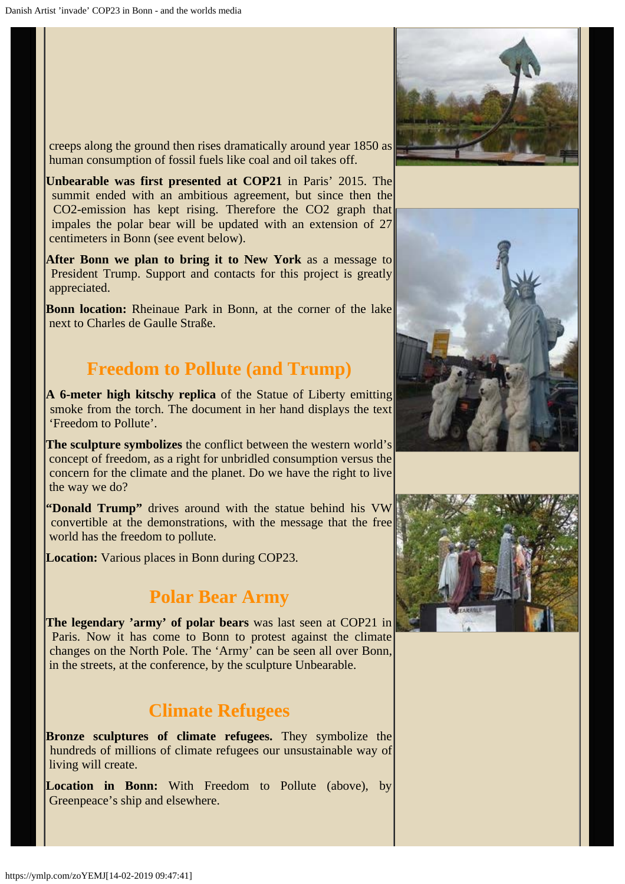creeps along the ground then rises dramatically around year 1850 as human consumption of fossil fuels like coal and oil takes off.

**Unbearable was first presented at COP21** in Paris' 2015. The summit ended with an ambitious agreement, but since then the CO2-emission has kept rising. Therefore the CO2 graph that impales the polar bear will be updated with an extension of 27 centimeters in Bonn (see event below).

**After Bonn we plan to bring it to New York** as a message to President Trump. Support and contacts for this project is greatly appreciated.

**Bonn location:** Rheinaue Park in Bonn, at the corner of the lake next to Charles de Gaulle Straße.

# **Freedom to Pollute (and Trump)**

**A 6-meter high kitschy replica** of the Statue of Liberty emitting smoke from the torch. The document in her hand displays the text 'Freedom to Pollute'.

**The sculpture symbolizes** the conflict between the western world's concept of freedom, as a right for unbridled consumption versus the concern for the climate and the planet. Do we have the right to live the way we do?

**"Donald Trump"** drives around with the statue behind his VW convertible at the demonstrations, with the message that the free world has the freedom to pollute.

**Location:** Various places in Bonn during COP23.

# **Polar Bear Army**

**The legendary 'army' of polar bears** was last seen at COP21 in Paris. Now it has come to Bonn to protest against the climate changes on the North Pole. The 'Army' can be seen all over Bonn, in the streets, at the conference, by the sculpture Unbearable.

# **Climate Refugees**

**Bronze sculptures of climate refugees.** They symbolize the hundreds of millions of climate refugees our unsustainable way of living will create.

**Location in Bonn:** With Freedom to Pollute (above), by Greenpeace's ship and elsewhere.